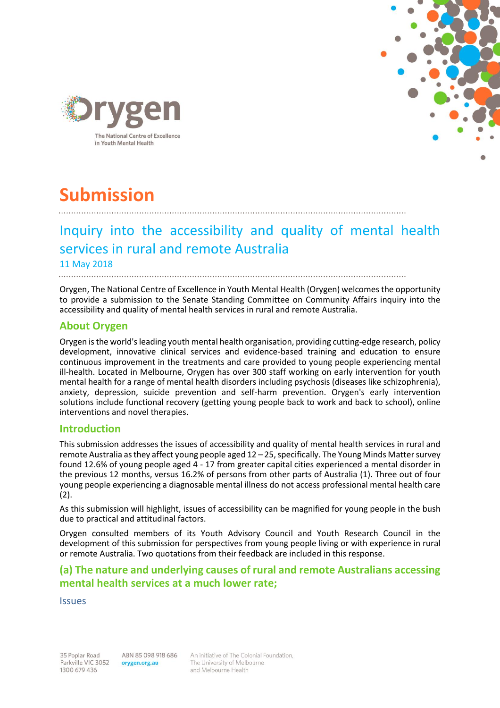



# **Submission**

# Inquiry into the accessibility and quality of mental health services in rural and remote Australia 11 May 2018

Orygen, The National Centre of Excellence in Youth Mental Health (Orygen) welcomes the opportunity to provide a submission to the Senate Standing Committee on Community Affairs inquiry into the accessibility and quality of mental health services in rural and remote Australia.

# **About Orygen**

Orygen is the world's leading youth mental health organisation, providing cutting-edge research, policy development, innovative clinical services and evidence-based training and education to ensure continuous improvement in the treatments and care provided to young people experiencing mental ill-health. Located in Melbourne, Orygen has over 300 staff working on early intervention for youth mental health for a range of mental health disorders including psychosis (diseases like schizophrenia), anxiety, depression, suicide prevention and self-harm prevention. Orygen's early intervention solutions include functional recovery (getting young people back to work and back to school), online interventions and novel therapies.

### **Introduction**

This submission addresses the issues of accessibility and quality of mental health services in rural and remote Australia as they affect young people aged 12 – 25, specifically. The Young Minds Matter survey found 12.6% of young people aged 4 - 17 from greater capital cities experienced a mental disorder in the previous 12 months, versus 16.2% of persons from other parts of Australia (1). Three out of four young people experiencing a diagnosable mental illness do not access professional mental health care (2).

As this submission will highlight, issues of accessibility can be magnified for young people in the bush due to practical and attitudinal factors.

Orygen consulted members of its Youth Advisory Council and Youth Research Council in the development of this submission for perspectives from young people living or with experience in rural or remote Australia. Two quotations from their feedback are included in this response.

# **(a) The nature and underlying causes of rural and remote Australians accessing mental health services at a much lower rate;**

**Issues** 

35 Poplar Road Parkville VIC 3052 1300 679 436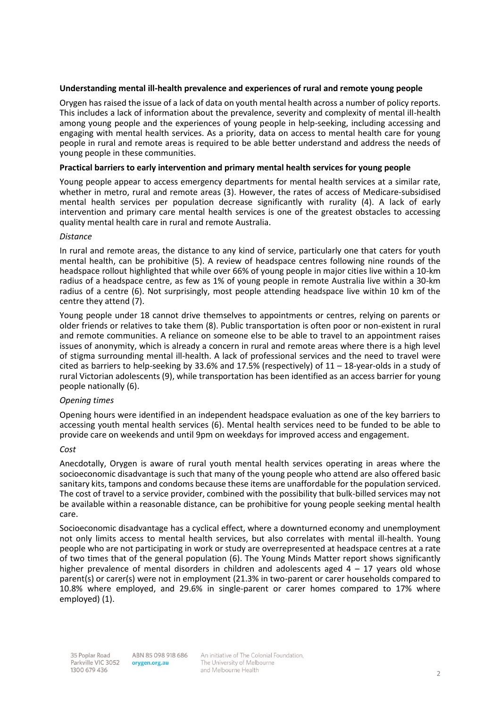#### **Understanding mental ill-health prevalence and experiences of rural and remote young people**

Orygen has raised the issue of a lack of data on youth mental health across a number of policy reports. This includes a lack of information about the prevalence, severity and complexity of mental ill-health among young people and the experiences of young people in help-seeking, including accessing and engaging with mental health services. As a priority, data on access to mental health care for young people in rural and remote areas is required to be able better understand and address the needs of young people in these communities.

#### **Practical barriers to early intervention and primary mental health services for young people**

Young people appear to access emergency departments for mental health services at a similar rate, whether in metro, rural and remote areas (3). However, the rates of access of Medicare-subsidised mental health services per population decrease significantly with rurality (4). A lack of early intervention and primary care mental health services is one of the greatest obstacles to accessing quality mental health care in rural and remote Australia.

#### *Distance*

In rural and remote areas, the distance to any kind of service, particularly one that caters for youth mental health, can be prohibitive (5). A review of headspace centres following nine rounds of the headspace rollout highlighted that while over 66% of young people in major cities live within a 10-km radius of a headspace centre, as few as 1% of young people in remote Australia live within a 30-km radius of a centre (6). Not surprisingly, most people attending headspace live within 10 km of the centre they attend (7).

Young people under 18 cannot drive themselves to appointments or centres, relying on parents or older friends or relatives to take them (8). Public transportation is often poor or non-existent in rural and remote communities. A reliance on someone else to be able to travel to an appointment raises issues of anonymity, which is already a concern in rural and remote areas where there is a high level of stigma surrounding mental ill-health. A lack of professional services and the need to travel were cited as barriers to help-seeking by 33.6% and 17.5% (respectively) of 11 – 18-year-olds in a study of rural Victorian adolescents (9), while transportation has been identified as an access barrier for young people nationally (6).

#### *Opening times*

Opening hours were identified in an independent headspace evaluation as one of the key barriers to accessing youth mental health services (6). Mental health services need to be funded to be able to provide care on weekends and until 9pm on weekdays for improved access and engagement.

#### *Cost*

Anecdotally, Orygen is aware of rural youth mental health services operating in areas where the socioeconomic disadvantage is such that many of the young people who attend are also offered basic sanitary kits, tampons and condoms because these items are unaffordable for the population serviced. The cost of travel to a service provider, combined with the possibility that bulk-billed services may not be available within a reasonable distance, can be prohibitive for young people seeking mental health care.

Socioeconomic disadvantage has a cyclical effect, where a downturned economy and unemployment not only limits access to mental health services, but also correlates with mental ill-health. Young people who are not participating in work or study are overrepresented at headspace centres at a rate of two times that of the general population (6). The Young Minds Matter report shows significantly higher prevalence of mental disorders in children and adolescents aged  $4 - 17$  years old whose parent(s) or carer(s) were not in employment (21.3% in two-parent or carer households compared to 10.8% where employed, and 29.6% in single-parent or carer homes compared to 17% where employed) (1).

ABN 85 098 918 686 orygen.org.au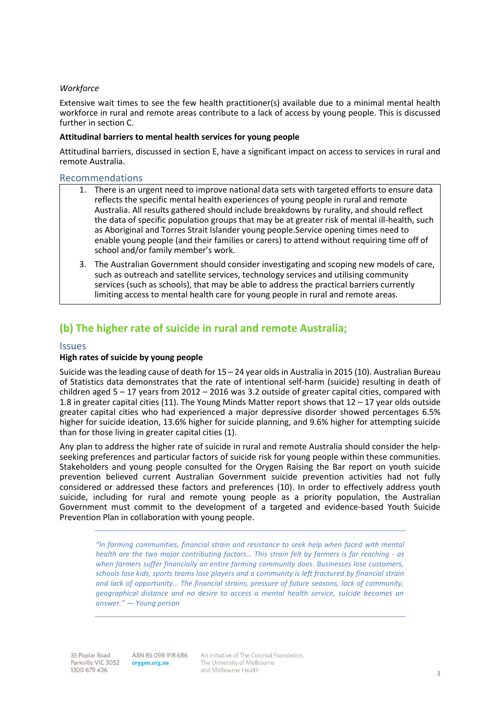#### *Workforce*

Extensive wait times to see the few health practitioner(s) available due to a minimal mental health workforce in rural and remote areas contribute to a lack of access by young people. This is discussed further in section C.

#### **Attitudinal barriers to mental health services for young people**

Attitudinal barriers, discussed in section E, have a significant impact on access to services in rural and remote Australia.

#### Recommendations

- 1. There is an urgent need to improve national data sets with targeted efforts to ensure data reflects the specific mental health experiences of young people in rural and remote Australia. All results gathered should include breakdowns by rurality, and should reflect the data of specific population groups that may be at greater risk of mental ill-health, such as Aboriginal and Torres Strait Islander young people.Service opening times need to enable young people (and their families or carers) to attend without requiring time off of school and/or family member's work.
- 3. The Australian Government should consider investigating and scoping new models of care, such as outreach and satellite services, technology services and utilising community services (such as schools), that may be able to address the practical barriers currently limiting access to mental health care for young people in rural and remote areas.

# **(b) The higher rate of suicide in rural and remote Australia;**

#### **Issues**

#### **High rates of suicide by young people**

Suicide was the leading cause of death for 15 – 24 year olds in Australia in 2015 (10). Australian Bureau of Statistics data demonstrates that the rate of intentional self-harm (suicide) resulting in death of children aged  $5 - 17$  years from 2012 – 2016 was 3.2 outside of greater capital cities, compared with 1.8 in greater capital cities (11). The Young Minds Matter report shows that 12 – 17 year olds outside greater capital cities who had experienced a major depressive disorder showed percentages 6.5% higher for suicide ideation, 13.6% higher for suicide planning, and 9.6% higher for attempting suicide than for those living in greater capital cities (1).

Any plan to address the higher rate of suicide in rural and remote Australia should consider the helpseeking preferences and particular factors of suicide risk for young people within these communities. Stakeholders and young people consulted for the Orygen Raising the Bar report on youth suicide prevention believed current Australian Government suicide prevention activities had not fully considered or addressed these factors and preferences (10). In order to effectively address youth suicide, including for rural and remote young people as a priority population, the Australian Government must commit to the development of a targeted and evidence-based Youth Suicide Prevention Plan in collaboration with young people.

*"In farming communities, financial strain and resistance to seek help when faced with mental health are the two major contributing factors... This strain felt by farmers is far reaching - as when farmers suffer financially an entire farming community does. Businesses lose customers, schools lose kids, sports teams lose players and a community is left fractured by financial strain and lack of opportunity… The financial strains, pressure of future seasons, lack of community, geographical distance and no desire to access a mental health service, suicide becomes an answer." — Young person*

ABN 85 098 918 686 orygen.org.au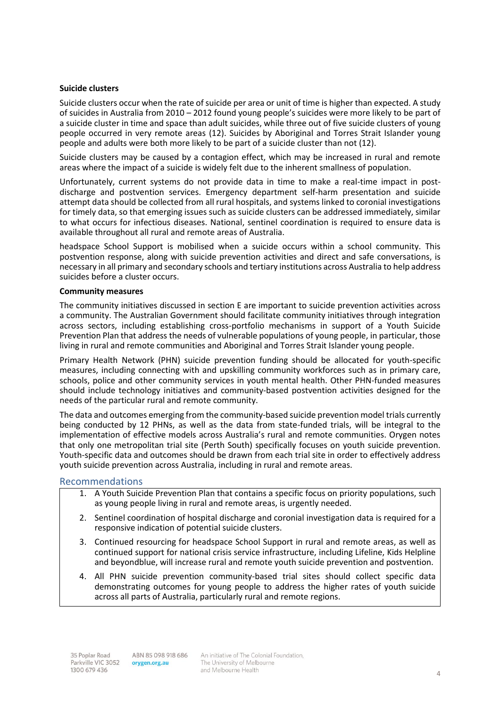#### **Suicide clusters**

Suicide clusters occur when the rate of suicide per area or unit of time is higher than expected. A study of suicides in Australia from 2010 – 2012 found young people's suicides were more likely to be part of a suicide cluster in time and space than adult suicides, while three out of five suicide clusters of young people occurred in very remote areas (12). Suicides by Aboriginal and Torres Strait Islander young people and adults were both more likely to be part of a suicide cluster than not (12).

Suicide clusters may be caused by a contagion effect, which may be increased in rural and remote areas where the impact of a suicide is widely felt due to the inherent smallness of population.

Unfortunately, current systems do not provide data in time to make a real-time impact in postdischarge and postvention services. Emergency department self-harm presentation and suicide attempt data should be collected from all rural hospitals, and systems linked to coronial investigations for timely data, so that emerging issues such as suicide clusters can be addressed immediately, similar to what occurs for infectious diseases. National, sentinel coordination is required to ensure data is available throughout all rural and remote areas of Australia.

headspace School Support is mobilised when a suicide occurs within a school community. This postvention response, along with suicide prevention activities and direct and safe conversations, is necessary in all primary and secondary schools and tertiary institutions across Australia to help address suicides before a cluster occurs.

#### **Community measures**

The community initiatives discussed in section E are important to suicide prevention activities across a community. The Australian Government should facilitate community initiatives through integration across sectors, including establishing cross-portfolio mechanisms in support of a Youth Suicide Prevention Plan that address the needs of vulnerable populations of young people, in particular, those living in rural and remote communities and Aboriginal and Torres Strait Islander young people.

Primary Health Network (PHN) suicide prevention funding should be allocated for youth-specific measures, including connecting with and upskilling community workforces such as in primary care, schools, police and other community services in youth mental health. Other PHN-funded measures should include technology initiatives and community-based postvention activities designed for the needs of the particular rural and remote community.

The data and outcomes emerging from the community-based suicide prevention model trials currently being conducted by 12 PHNs, as well as the data from state-funded trials, will be integral to the implementation of effective models across Australia's rural and remote communities. Orygen notes that only one metropolitan trial site (Perth South) specifically focuses on youth suicide prevention. Youth-specific data and outcomes should be drawn from each trial site in order to effectively address youth suicide prevention across Australia, including in rural and remote areas.

#### Recommendations

- 1. A Youth Suicide Prevention Plan that contains a specific focus on priority populations, such as young people living in rural and remote areas, is urgently needed.
- 2. Sentinel coordination of hospital discharge and coronial investigation data is required for a responsive indication of potential suicide clusters.
- 3. Continued resourcing for headspace School Support in rural and remote areas, as well as continued support for national crisis service infrastructure, including Lifeline, Kids Helpline and beyondblue, will increase rural and remote youth suicide prevention and postvention.
- 4. All PHN suicide prevention community-based trial sites should collect specific data demonstrating outcomes for young people to address the higher rates of youth suicide across all parts of Australia, particularly rural and remote regions.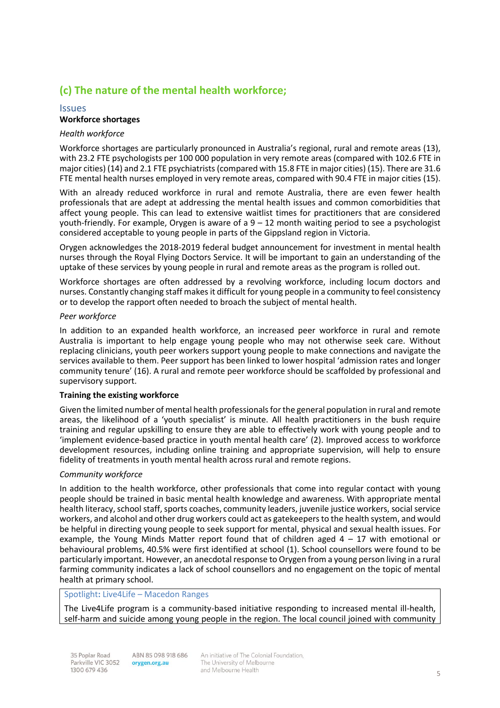# **(c) The nature of the mental health workforce;**

#### Issues **Workforce shortages**

#### *Health workforce*

Workforce shortages are particularly pronounced in Australia's regional, rural and remote areas (13), with 23.2 FTE psychologists per 100 000 population in very remote areas (compared with 102.6 FTE in major cities) (14) and 2.1 FTE psychiatrists (compared with 15.8 FTE in major cities) (15). There are 31.6 FTE mental health nurses employed in very remote areas, compared with 90.4 FTE in major cities (15).

With an already reduced workforce in rural and remote Australia, there are even fewer health professionals that are adept at addressing the mental health issues and common comorbidities that affect young people. This can lead to extensive waitlist times for practitioners that are considered youth-friendly. For example, Orygen is aware of a  $9 - 12$  month waiting period to see a psychologist considered acceptable to young people in parts of the Gippsland region in Victoria.

Orygen acknowledges the 2018-2019 federal budget announcement for investment in mental health nurses through the Royal Flying Doctors Service. It will be important to gain an understanding of the uptake of these services by young people in rural and remote areas as the program is rolled out.

Workforce shortages are often addressed by a revolving workforce, including locum doctors and nurses. Constantly changing staff makes it difficult for young people in a community to feel consistency or to develop the rapport often needed to broach the subject of mental health.

#### *Peer workforce*

In addition to an expanded health workforce, an increased peer workforce in rural and remote Australia is important to help engage young people who may not otherwise seek care. Without replacing clinicians, youth peer workers support young people to make connections and navigate the services available to them. Peer support has been linked to lower hospital 'admission rates and longer community tenure' (16). A rural and remote peer workforce should be scaffolded by professional and supervisory support.

#### **Training the existing workforce**

Given the limited number of mental health professionals for the general population in rural and remote areas, the likelihood of a 'youth specialist' is minute. All health practitioners in the bush require training and regular upskilling to ensure they are able to effectively work with young people and to 'implement evidence-based practice in youth mental health care' (2). Improved access to workforce development resources, including online training and appropriate supervision, will help to ensure fidelity of treatments in youth mental health across rural and remote regions.

#### *Community workforce*

In addition to the health workforce, other professionals that come into regular contact with young people should be trained in basic mental health knowledge and awareness. With appropriate mental health literacy, school staff, sports coaches, community leaders, juvenile justice workers, social service workers, and alcohol and other drug workers could act as gatekeepers to the health system, and would be helpful in directing young people to seek support for mental, physical and sexual health issues. For example, the Young Minds Matter report found that of children aged  $4 - 17$  with emotional or behavioural problems, 40.5% were first identified at school (1). School counsellors were found to be particularly important. However, an anecdotal response to Orygen from a young person living in a rural farming community indicates a lack of school counsellors and no engagement on the topic of mental health at primary school.

#### Spotlight**:** Live4Life – Macedon Ranges

The Live4Life program is a community-based initiative responding to increased mental ill-health, self-harm and suicide among young people in the region. The local council joined with community

35 Poplar Road Parkville VIC 3052 1300 679 436

ABN 85 098 918 686 orygen.org.au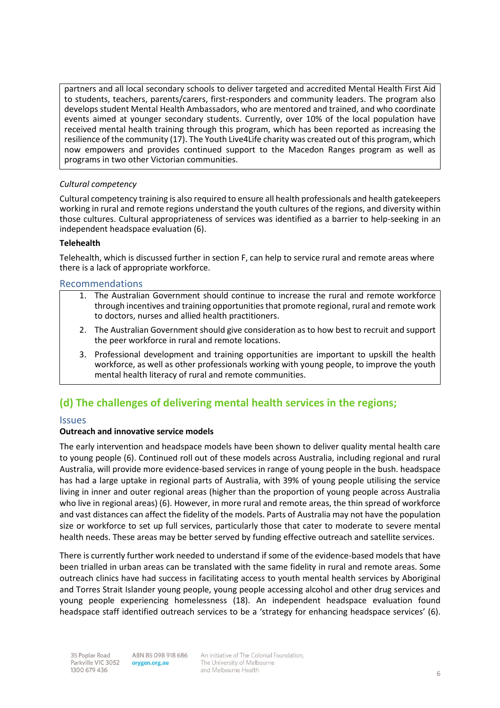partners and all local secondary schools to deliver targeted and accredited Mental Health First Aid to students, teachers, parents/carers, first-responders and community leaders. The program also develops student Mental Health Ambassadors, who are mentored and trained, and who coordinate events aimed at younger secondary students. Currently, over 10% of the local population have received mental health training through this program, which has been reported as increasing the resilience of the community (17). The Youth Live4Life charity was created out of this program, which now empowers and provides continued support to the Macedon Ranges program as well as programs in two other Victorian communities.

#### *Cultural competency*

Cultural competency training is also required to ensure all health professionals and health gatekeepers working in rural and remote regions understand the youth cultures of the regions, and diversity within those cultures. Cultural appropriateness of services was identified as a barrier to help-seeking in an independent headspace evaluation (6).

#### **Telehealth**

Telehealth, which is discussed further in section F, can help to service rural and remote areas where there is a lack of appropriate workforce.

#### Recommendations

- 1. The Australian Government should continue to increase the rural and remote workforce through incentives and training opportunities that promote regional, rural and remote work to doctors, nurses and allied health practitioners.
- 2. The Australian Government should give consideration as to how best to recruit and support the peer workforce in rural and remote locations.
- 3. Professional development and training opportunities are important to upskill the health workforce, as well as other professionals working with young people, to improve the youth mental health literacy of rural and remote communities.

# **(d) The challenges of delivering mental health services in the regions;**

#### Issues

#### **Outreach and innovative service models**

The early intervention and headspace models have been shown to deliver quality mental health care to young people (6). Continued roll out of these models across Australia, including regional and rural Australia, will provide more evidence-based services in range of young people in the bush. headspace has had a large uptake in regional parts of Australia, with 39% of young people utilising the service living in inner and outer regional areas (higher than the proportion of young people across Australia who live in regional areas) (6). However, in more rural and remote areas, the thin spread of workforce and vast distances can affect the fidelity of the models. Parts of Australia may not have the population size or workforce to set up full services, particularly those that cater to moderate to severe mental health needs. These areas may be better served by funding effective outreach and satellite services.

There is currently further work needed to understand if some of the evidence-based models that have been trialled in urban areas can be translated with the same fidelity in rural and remote areas. Some outreach clinics have had success in facilitating access to youth mental health services by Aboriginal and Torres Strait Islander young people, young people accessing alcohol and other drug services and young people experiencing homelessness (18). An independent headspace evaluation found headspace staff identified outreach services to be a 'strategy for enhancing headspace services' (6).

ABN 85 098 918 686 orygen.org.au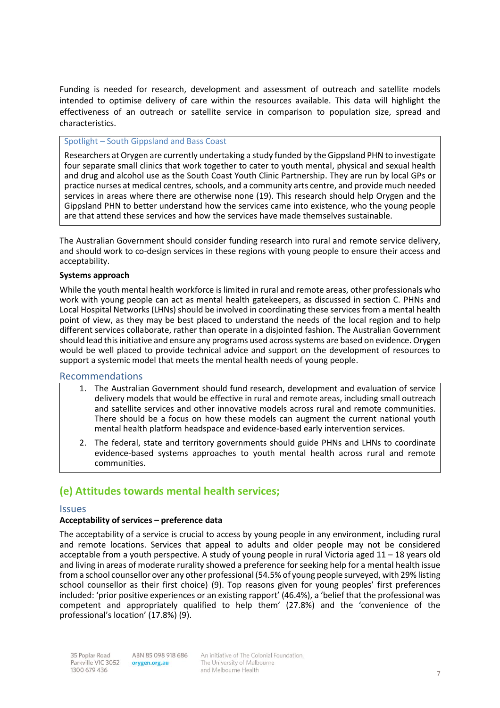Funding is needed for research, development and assessment of outreach and satellite models intended to optimise delivery of care within the resources available. This data will highlight the effectiveness of an outreach or satellite service in comparison to population size, spread and characteristics.

#### Spotlight – South Gippsland and Bass Coast

Researchers at Orygen are currently undertaking a study funded by the Gippsland PHN to investigate four separate small clinics that work together to cater to youth mental, physical and sexual health and drug and alcohol use as the South Coast Youth Clinic Partnership. They are run by local GPs or practice nurses at medical centres, schools, and a community arts centre, and provide much needed services in areas where there are otherwise none (19). This research should help Orygen and the Gippsland PHN to better understand how the services came into existence, who the young people are that attend these services and how the services have made themselves sustainable.

The Australian Government should consider funding research into rural and remote service delivery, and should work to co-design services in these regions with young people to ensure their access and acceptability.

#### **Systems approach**

While the youth mental health workforce is limited in rural and remote areas, other professionals who work with young people can act as mental health gatekeepers, as discussed in section C. PHNs and Local Hospital Networks (LHNs) should be involved in coordinating these services from a mental health point of view, as they may be best placed to understand the needs of the local region and to help different services collaborate, rather than operate in a disjointed fashion. The Australian Government should lead this initiative and ensure any programs used across systems are based on evidence. Orygen would be well placed to provide technical advice and support on the development of resources to support a systemic model that meets the mental health needs of young people.

#### Recommendations

- 1. The Australian Government should fund research, development and evaluation of service delivery models that would be effective in rural and remote areas, including small outreach and satellite services and other innovative models across rural and remote communities. There should be a focus on how these models can augment the current national youth mental health platform headspace and evidence-based early intervention services.
- 2. The federal, state and territory governments should guide PHNs and LHNs to coordinate evidence-based systems approaches to youth mental health across rural and remote communities.

# **(e) Attitudes towards mental health services;**

#### **Issues**

#### **Acceptability of services – preference data**

The acceptability of a service is crucial to access by young people in any environment, including rural and remote locations. Services that appeal to adults and older people may not be considered acceptable from a youth perspective. A study of young people in rural Victoria aged 11 – 18 years old and living in areas of moderate rurality showed a preference for seeking help for a mental health issue from a school counsellor over any other professional (54.5% of young people surveyed, with 29% listing school counsellor as their first choice) (9). Top reasons given for young peoples' first preferences included: 'prior positive experiences or an existing rapport' (46.4%), a 'belief that the professional was competent and appropriately qualified to help them' (27.8%) and the 'convenience of the professional's location' (17.8%) (9).

ABN 85 098 918 686 orygen.org.au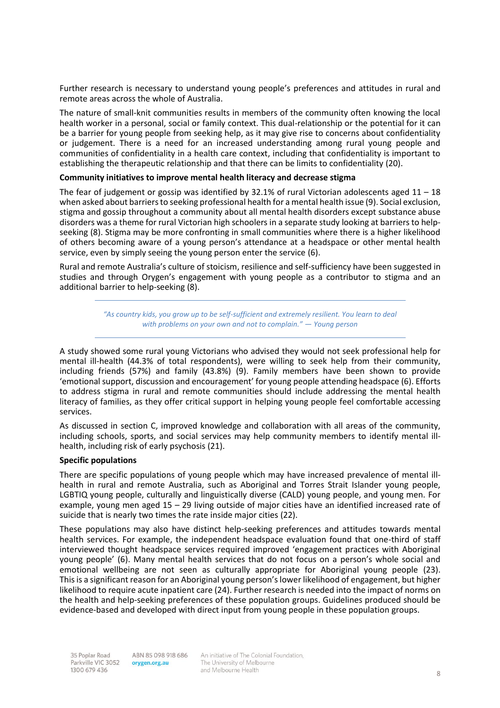Further research is necessary to understand young people's preferences and attitudes in rural and remote areas across the whole of Australia.

The nature of small-knit communities results in members of the community often knowing the local health worker in a personal, social or family context. This dual-relationship or the potential for it can be a barrier for young people from seeking help, as it may give rise to concerns about confidentiality or judgement. There is a need for an increased understanding among rural young people and communities of confidentiality in a health care context, including that confidentiality is important to establishing the therapeutic relationship and that there can be limits to confidentiality (20).

#### **Community initiatives to improve mental health literacy and decrease stigma**

The fear of judgement or gossip was identified by 32.1% of rural Victorian adolescents aged  $11 - 18$ when asked about barriers to seeking professional health for a mental health issue (9). Social exclusion, stigma and gossip throughout a community about all mental health disorders except substance abuse disorders was a theme for rural Victorian high schoolers in a separate study looking at barriers to helpseeking (8). Stigma may be more confronting in small communities where there is a higher likelihood of others becoming aware of a young person's attendance at a headspace or other mental health service, even by simply seeing the young person enter the service (6).

Rural and remote Australia's culture of stoicism, resilience and self-sufficiency have been suggested in studies and through Orygen's engagement with young people as a contributor to stigma and an additional barrier to help-seeking (8).

> *"As country kids, you grow up to be self-sufficient and extremely resilient. You learn to deal with problems on your own and not to complain." — Young person*

A study showed some rural young Victorians who advised they would not seek professional help for mental ill-health (44.3% of total respondents), were willing to seek help from their community, including friends (57%) and family (43.8%) (9). Family members have been shown to provide 'emotional support, discussion and encouragement' for young people attending headspace (6). Efforts to address stigma in rural and remote communities should include addressing the mental health literacy of families, as they offer critical support in helping young people feel comfortable accessing services.

As discussed in section C, improved knowledge and collaboration with all areas of the community, including schools, sports, and social services may help community members to identify mental illhealth, including risk of early psychosis (21).

#### **Specific populations**

There are specific populations of young people which may have increased prevalence of mental illhealth in rural and remote Australia, such as Aboriginal and Torres Strait Islander young people, LGBTIQ young people, culturally and linguistically diverse (CALD) young people, and young men. For example, young men aged 15 – 29 living outside of major cities have an identified increased rate of suicide that is nearly two times the rate inside major cities (22).

These populations may also have distinct help-seeking preferences and attitudes towards mental health services. For example, the independent headspace evaluation found that one-third of staff interviewed thought headspace services required improved 'engagement practices with Aboriginal young people' (6). Many mental health services that do not focus on a person's whole social and emotional wellbeing are not seen as culturally appropriate for Aboriginal young people (23). This is a significant reason for an Aboriginal young person's lower likelihood of engagement, but higher likelihood to require acute inpatient care (24). Further research is needed into the impact of norms on the health and help-seeking preferences of these population groups. Guidelines produced should be evidence-based and developed with direct input from young people in these population groups.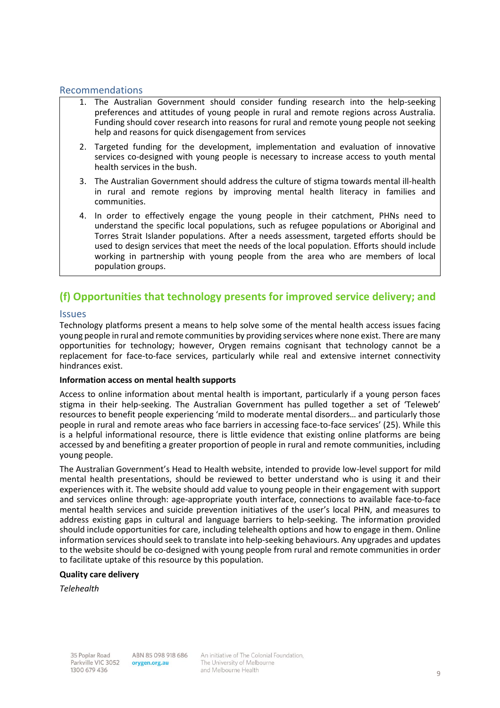#### Recommendations

- 1. The Australian Government should consider funding research into the help-seeking preferences and attitudes of young people in rural and remote regions across Australia. Funding should cover research into reasons for rural and remote young people not seeking help and reasons for quick disengagement from services
- 2. Targeted funding for the development, implementation and evaluation of innovative services co-designed with young people is necessary to increase access to youth mental health services in the bush.
- 3. The Australian Government should address the culture of stigma towards mental ill-health in rural and remote regions by improving mental health literacy in families and communities.
- 4. In order to effectively engage the young people in their catchment, PHNs need to understand the specific local populations, such as refugee populations or Aboriginal and Torres Strait Islander populations. After a needs assessment, targeted efforts should be used to design services that meet the needs of the local population. Efforts should include working in partnership with young people from the area who are members of local population groups.

# **(f) Opportunities that technology presents for improved service delivery; and**

#### **Issues**

Technology platforms present a means to help solve some of the mental health access issues facing young people in rural and remote communities by providing services where none exist. There are many opportunities for technology; however, Orygen remains cognisant that technology cannot be a replacement for face-to-face services, particularly while real and extensive internet connectivity hindrances exist.

#### **Information access on mental health supports**

Access to online information about mental health is important, particularly if a young person faces stigma in their help-seeking. The Australian Government has pulled together a set of 'Teleweb' resources to benefit people experiencing 'mild to moderate mental disorders… and particularly those people in rural and remote areas who face barriers in accessing face-to-face services' (25). While this is a helpful informational resource, there is little evidence that existing online platforms are being accessed by and benefiting a greater proportion of people in rural and remote communities, including young people.

The Australian Government's Head to Health website, intended to provide low-level support for mild mental health presentations, should be reviewed to better understand who is using it and their experiences with it. The website should add value to young people in their engagement with support and services online through: age-appropriate youth interface, connections to available face-to-face mental health services and suicide prevention initiatives of the user's local PHN, and measures to address existing gaps in cultural and language barriers to help-seeking. The information provided should include opportunities for care, including telehealth options and how to engage in them. Online information services should seek to translate into help-seeking behaviours. Any upgrades and updates to the website should be co-designed with young people from rural and remote communities in order to facilitate uptake of this resource by this population.

#### **Quality care delivery**

*Telehealth*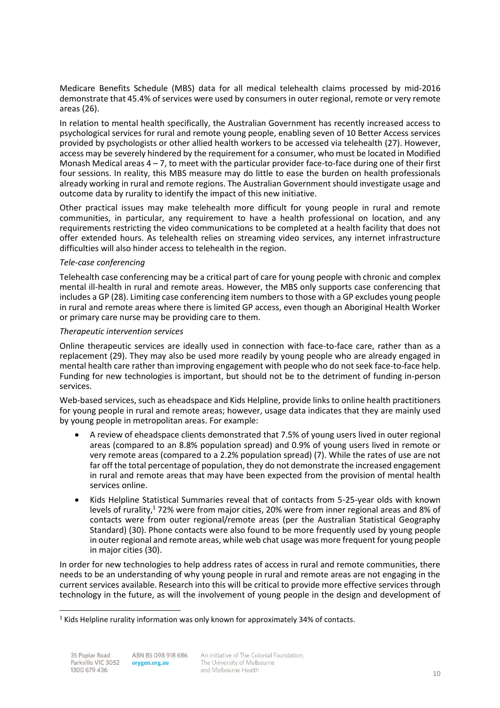Medicare Benefits Schedule (MBS) data for all medical telehealth claims processed by mid-2016 demonstrate that 45.4% of services were used by consumers in outer regional, remote or very remote areas (26).

In relation to mental health specifically, the Australian Government has recently increased access to psychological services for rural and remote young people, enabling seven of 10 Better Access services provided by psychologists or other allied health workers to be accessed via telehealth (27). However, access may be severely hindered by the requirement for a consumer, who must be located in Modified Monash Medical areas  $4 - 7$ , to meet with the particular provider face-to-face during one of their first four sessions. In reality, this MBS measure may do little to ease the burden on health professionals already working in rural and remote regions. The Australian Government should investigate usage and outcome data by rurality to identify the impact of this new initiative.

Other practical issues may make telehealth more difficult for young people in rural and remote communities, in particular, any requirement to have a health professional on location, and any requirements restricting the video communications to be completed at a health facility that does not offer extended hours. As telehealth relies on streaming video services, any internet infrastructure difficulties will also hinder access to telehealth in the region.

#### *Tele-case conferencing*

Telehealth case conferencing may be a critical part of care for young people with chronic and complex mental ill-health in rural and remote areas. However, the MBS only supports case conferencing that includes a GP (28). Limiting case conferencing item numbers to those with a GP excludes young people in rural and remote areas where there is limited GP access, even though an Aboriginal Health Worker or primary care nurse may be providing care to them.

#### *Therapeutic intervention services*

Online therapeutic services are ideally used in connection with face-to-face care, rather than as a replacement (29). They may also be used more readily by young people who are already engaged in mental health care rather than improving engagement with people who do not seek face-to-face help. Funding for new technologies is important, but should not be to the detriment of funding in-person services.

Web-based services, such as eheadspace and Kids Helpline, provide links to online health practitioners for young people in rural and remote areas; however, usage data indicates that they are mainly used by young people in metropolitan areas. For example:

- A review of eheadspace clients demonstrated that 7.5% of young users lived in outer regional areas (compared to an 8.8% population spread) and 0.9% of young users lived in remote or very remote areas (compared to a 2.2% population spread) (7). While the rates of use are not far off the total percentage of population, they do not demonstrate the increased engagement in rural and remote areas that may have been expected from the provision of mental health services online.
- Kids Helpline Statistical Summaries reveal that of contacts from 5-25-year olds with known levels of rurality,<sup>1</sup> 72% were from major cities, 20% were from inner regional areas and 8% of contacts were from outer regional/remote areas (per the Australian Statistical Geography Standard) (30). Phone contacts were also found to be more frequently used by young people in outer regional and remote areas, while web chat usage was more frequent for young people in major cities (30).

In order for new technologies to help address rates of access in rural and remote communities, there needs to be an understanding of why young people in rural and remote areas are not engaging in the current services available. Research into this will be critical to provide more effective services through technology in the future, as will the involvement of young people in the design and development of

 $\overline{a}$ 

 $1$  Kids Helpline rurality information was only known for approximately 34% of contacts.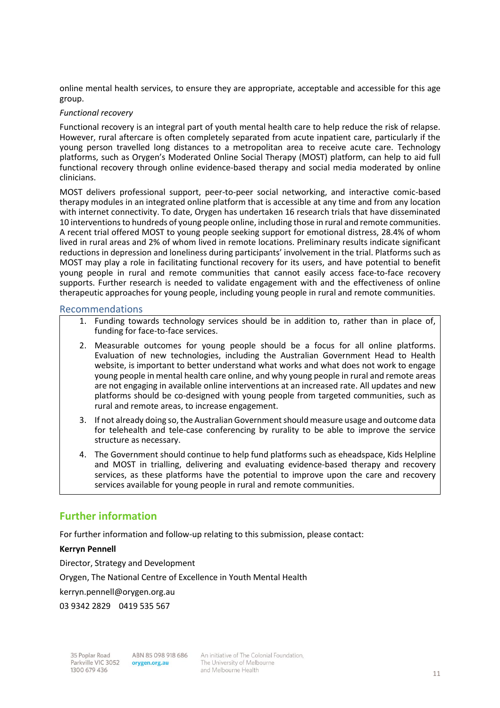online mental health services, to ensure they are appropriate, acceptable and accessible for this age group.

#### *Functional recovery*

Functional recovery is an integral part of youth mental health care to help reduce the risk of relapse. However, rural aftercare is often completely separated from acute inpatient care, particularly if the young person travelled long distances to a metropolitan area to receive acute care. Technology platforms, such as Orygen's Moderated Online Social Therapy (MOST) platform, can help to aid full functional recovery through online evidence-based therapy and social media moderated by online clinicians.

MOST delivers professional support, peer-to-peer social networking, and interactive comic-based therapy modules in an integrated online platform that is accessible at any time and from any location with internet connectivity. To date, Orygen has undertaken 16 research trials that have disseminated 10 interventions to hundreds of young people online, including those in rural and remote communities. A recent trial offered MOST to young people seeking support for emotional distress, 28.4% of whom lived in rural areas and 2% of whom lived in remote locations. Preliminary results indicate significant reductions in depression and loneliness during participants' involvement in the trial. Platforms such as MOST may play a role in facilitating functional recovery for its users, and have potential to benefit young people in rural and remote communities that cannot easily access face-to-face recovery supports. Further research is needed to validate engagement with and the effectiveness of online therapeutic approaches for young people, including young people in rural and remote communities.

#### Recommendations

- 1. Funding towards technology services should be in addition to, rather than in place of, funding for face-to-face services.
- 2. Measurable outcomes for young people should be a focus for all online platforms. Evaluation of new technologies, including the Australian Government Head to Health website, is important to better understand what works and what does not work to engage young people in mental health care online, and why young people in rural and remote areas are not engaging in available online interventions at an increased rate. All updates and new platforms should be co-designed with young people from targeted communities, such as rural and remote areas, to increase engagement.
- 3. If not already doing so, the Australian Government should measure usage and outcome data for telehealth and tele-case conferencing by rurality to be able to improve the service structure as necessary.
- 4. The Government should continue to help fund platforms such as eheadspace, Kids Helpline and MOST in trialling, delivering and evaluating evidence-based therapy and recovery services, as these platforms have the potential to improve upon the care and recovery services available for young people in rural and remote communities.

## **Further information**

For further information and follow-up relating to this submission, please contact:

#### **Kerryn Pennell**

Director, Strategy and Development

Orygen, The National Centre of Excellence in Youth Mental Health

kerryn.pennell@orygen.org.au

03 9342 2829 0419 535 567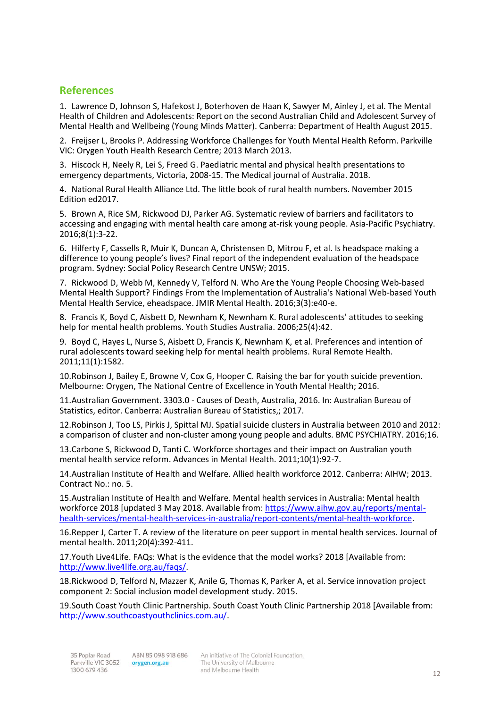# **References**

1. Lawrence D, Johnson S, Hafekost J, Boterhoven de Haan K, Sawyer M, Ainley J, et al. The Mental Health of Children and Adolescents: Report on the second Australian Child and Adolescent Survey of Mental Health and Wellbeing (Young Minds Matter). Canberra: Department of Health August 2015.

2. Freijser L, Brooks P. Addressing Workforce Challenges for Youth Mental Health Reform. Parkville VIC: Orygen Youth Health Research Centre; 2013 March 2013.

3. Hiscock H, Neely R, Lei S, Freed G. Paediatric mental and physical health presentations to emergency departments, Victoria, 2008-15. The Medical journal of Australia. 2018.

4. National Rural Health Alliance Ltd. The little book of rural health numbers. November 2015 Edition ed2017.

5. Brown A, Rice SM, Rickwood DJ, Parker AG. Systematic review of barriers and facilitators to accessing and engaging with mental health care among at‐risk young people. Asia‐Pacific Psychiatry. 2016;8(1):3-22.

6. Hilferty F, Cassells R, Muir K, Duncan A, Christensen D, Mitrou F, et al. Is headspace making a difference to young people's lives? Final report of the independent evaluation of the headspace program. Sydney: Social Policy Research Centre UNSW; 2015.

7. Rickwood D, Webb M, Kennedy V, Telford N. Who Are the Young People Choosing Web-based Mental Health Support? Findings From the Implementation of Australia's National Web-based Youth Mental Health Service, eheadspace. JMIR Mental Health. 2016;3(3):e40-e.

8. Francis K, Boyd C, Aisbett D, Newnham K, Newnham K. Rural adolescents' attitudes to seeking help for mental health problems. Youth Studies Australia. 2006;25(4):42.

9. Boyd C, Hayes L, Nurse S, Aisbett D, Francis K, Newnham K, et al. Preferences and intention of rural adolescents toward seeking help for mental health problems. Rural Remote Health. 2011;11(1):1582.

10.Robinson J, Bailey E, Browne V, Cox G, Hooper C. Raising the bar for youth suicide prevention. Melbourne: Orygen, The National Centre of Excellence in Youth Mental Health; 2016.

11.Australian Government. 3303.0 - Causes of Death, Australia, 2016. In: Australian Bureau of Statistics, editor. Canberra: Australian Bureau of Statistics,; 2017.

12.Robinson J, Too LS, Pirkis J, Spittal MJ. Spatial suicide clusters in Australia between 2010 and 2012: a comparison of cluster and non-cluster among young people and adults. BMC PSYCHIATRY. 2016;16.

13.Carbone S, Rickwood D, Tanti C. Workforce shortages and their impact on Australian youth mental health service reform. Advances in Mental Health. 2011;10(1):92-7.

14.Australian Institute of Health and Welfare. Allied health workforce 2012. Canberra: AIHW; 2013. Contract No.: no. 5.

15.Australian Institute of Health and Welfare. Mental health services in Australia: Mental health workforce 2018 [updated 3 May 2018. Available from[: https://www.aihw.gov.au/reports/mental](https://www.aihw.gov.au/reports/mental-health-services/mental-health-services-in-australia/report-contents/mental-health-workforce)[health-services/mental-health-services-in-australia/report-contents/mental-health-workforce.](https://www.aihw.gov.au/reports/mental-health-services/mental-health-services-in-australia/report-contents/mental-health-workforce)

16.Repper J, Carter T. A review of the literature on peer support in mental health services. Journal of mental health. 2011;20(4):392-411.

17.Youth Live4Life. FAQs: What is the evidence that the model works? 2018 [Available from: [http://www.live4life.org.au/faqs/.](http://www.live4life.org.au/faqs/)

18.Rickwood D, Telford N, Mazzer K, Anile G, Thomas K, Parker A, et al. Service innovation project component 2: Social inclusion model development study. 2015.

19.South Coast Youth Clinic Partnership. South Coast Youth Clinic Partnership 2018 [Available from: [http://www.southcoastyouthclinics.com.au/.](http://www.southcoastyouthclinics.com.au/)